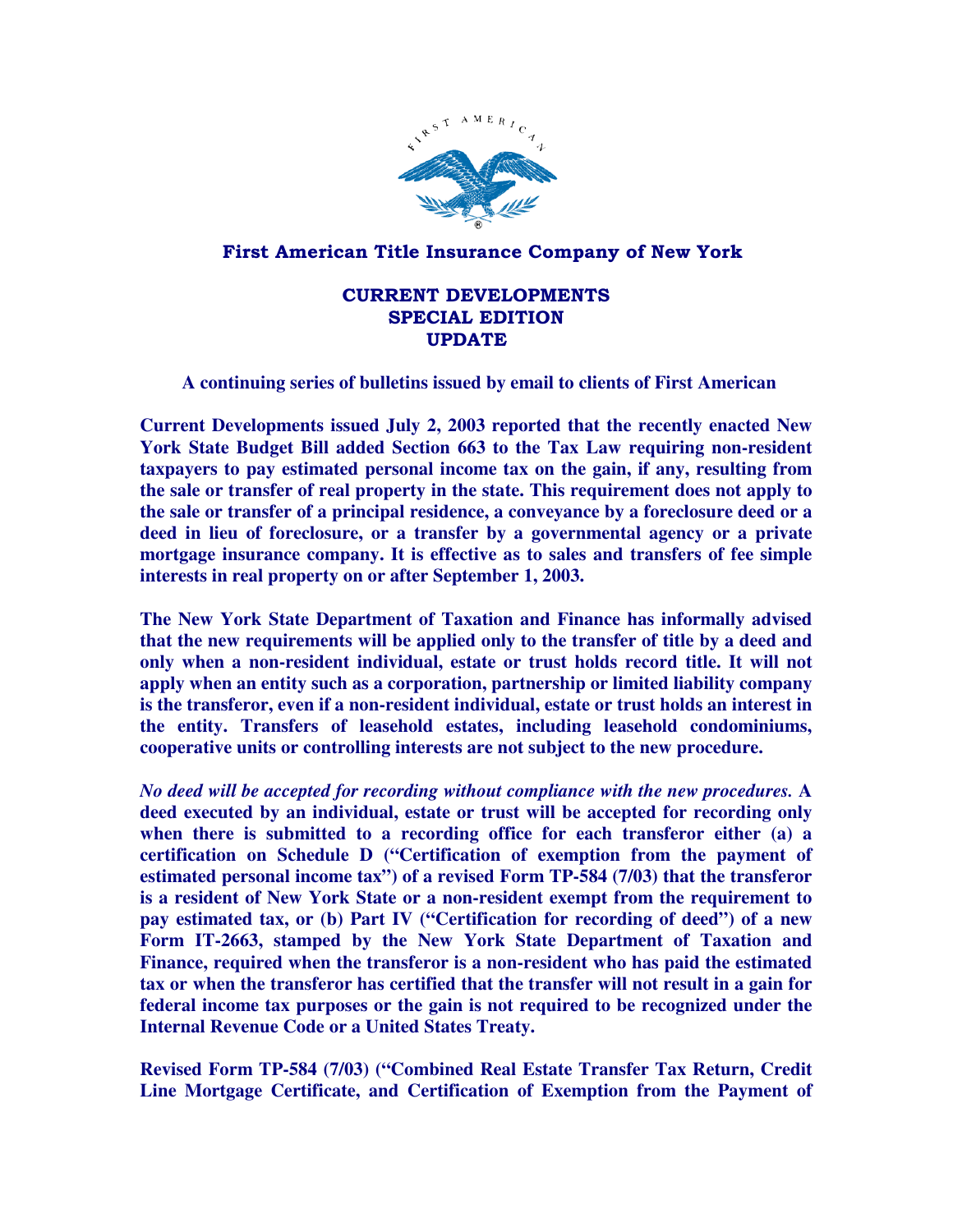

## First American Title Insurance Company of New York

## CURRENT DEVELOPMENTS SPECIAL EDITION UPDATE

## **A continuing series of bulletins issued by email to clients of First American**

**Current Developments issued July 2, 2003 reported that the recently enacted New York State Budget Bill added Section 663 to the Tax Law requiring non-resident taxpayers to pay estimated personal income tax on the gain, if any, resulting from the sale or transfer of real property in the state. This requirement does not apply to the sale or transfer of a principal residence, a conveyance by a foreclosure deed or a deed in lieu of foreclosure, or a transfer by a governmental agency or a private mortgage insurance company. It is effective as to sales and transfers of fee simple interests in real property on or after September 1, 2003.** 

**The New York State Department of Taxation and Finance has informally advised that the new requirements will be applied only to the transfer of title by a deed and only when a non-resident individual, estate or trust holds record title. It will not apply when an entity such as a corporation, partnership or limited liability company is the transferor, even if a non-resident individual, estate or trust holds an interest in the entity. Transfers of leasehold estates, including leasehold condominiums, cooperative units or controlling interests are not subject to the new procedure.** 

*No deed will be accepted for recording without compliance with the new procedures.* **A deed executed by an individual, estate or trust will be accepted for recording only when there is submitted to a recording office for each transferor either (a) a certification on Schedule D ("Certification of exemption from the payment of estimated personal income tax") of a revised Form TP-584 (7/03) that the transferor is a resident of New York State or a non-resident exempt from the requirement to pay estimated tax, or (b) Part IV ("Certification for recording of deed") of a new Form IT-2663, stamped by the New York State Department of Taxation and Finance, required when the transferor is a non-resident who has paid the estimated tax or when the transferor has certified that the transfer will not result in a gain for federal income tax purposes or the gain is not required to be recognized under the Internal Revenue Code or a United States Treaty.** 

**Revised Form TP-584 (7/03) ("Combined Real Estate Transfer Tax Return, Credit Line Mortgage Certificate, and Certification of Exemption from the Payment of**